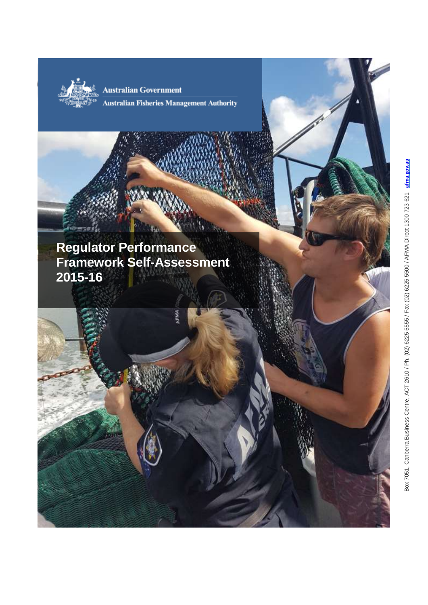

Australian Government

**Australian Fisheries Management Authority** 

# <span id="page-0-0"></span>**Regulator Performance Framework Self -Assessment 2015 -16**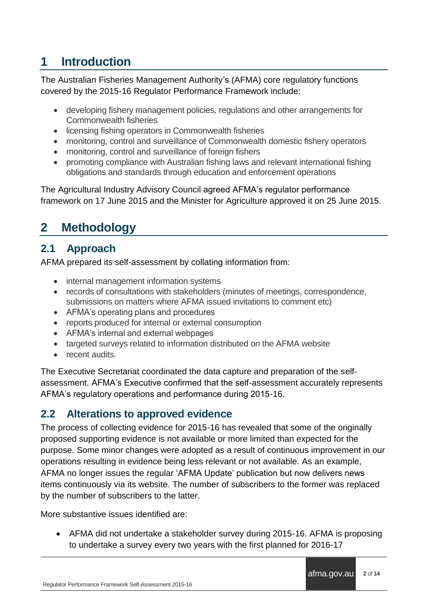## **1 Introduction**

The Australian Fisheries Management Authority's (AFMA) core regulatory functions covered by the 2015-16 Regulator Performance Framework include:

- developing fishery management policies, regulations and other arrangements for Commonwealth fisheries
- licensing fishing operators in Commonwealth fisheries
- monitoring, control and surveillance of Commonwealth domestic fishery operators
- monitoring, control and surveillance of foreign fishers
- promoting compliance with Australian fishing laws and relevant international fishing obligations and standards through education and enforcement operations

The Agricultural Industry Advisory Council agreed AFMA's regulator performance framework on 17 June 2015 and the Minister for Agriculture approved it on 25 June 2015.

# **2 Methodology**

## **2.1 Approach**

AFMA prepared its self-assessment by collating information from:

- internal management information systems
- records of consultations with stakeholders (minutes of meetings, correspondence, submissions on matters where AFMA issued invitations to comment etc)
- AFMA's operating plans and procedures
- reports produced for internal or external consumption
- AFMA's internal and external webpages
- targeted surveys related to information distributed on the AFMA website
- recent audits.

The Executive Secretariat coordinated the data capture and preparation of the selfassessment. AFMA's Executive confirmed that the self-assessment accurately represents AFMA's regulatory operations and performance during 2015-16.

### **2.2 Alterations to approved evidence**

The process of collecting evidence for 2015-16 has revealed that some of the originally proposed supporting evidence is not available or more limited than expected for the purpose. Some minor changes were adopted as a result of continuous improvement in our operations resulting in evidence being less relevant or not available. As an example, AFMA no longer issues the regular 'AFMA Update' publication but now delivers news items continuously via its website. The number of subscribers to the former was replaced by the number of subscribers to the latter.

More substantive issues identified are:

 AFMA did not undertake a stakeholder survey during 2015-16. AFMA is proposing to undertake a survey every two years with the first planned for 2016-17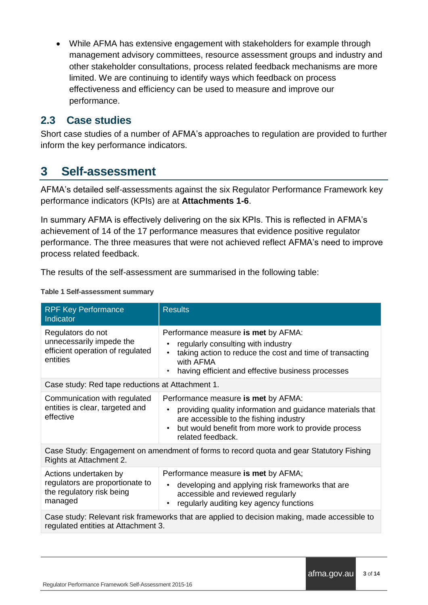While AFMA has extensive engagement with stakeholders for example through management advisory committees, resource assessment groups and industry and other stakeholder consultations, process related feedback mechanisms are more limited. We are continuing to identify ways which feedback on process effectiveness and efficiency can be used to measure and improve our performance.

### **2.3 Case studies**

Short case studies of a number of AFMA's approaches to regulation are provided to further inform the key performance indicators.

## **3 Self-assessment**

AFMA's detailed self-assessments against the six Regulator Performance Framework key performance indicators (KPIs) are at **Attachments 1-6**.

In summary AFMA is effectively delivering on the six KPIs. This is reflected in AFMA's achievement of 14 of the 17 performance measures that evidence positive regulator performance. The three measures that were not achieved reflect AFMA's need to improve process related feedback.

The results of the self-assessment are summarised in the following table:

#### **Table 1 Self-assessment summary**

| <b>RPF Key Performance</b><br>Indicator                                                                                             | <b>Results</b>                                                                                                                                                                                                         |  |
|-------------------------------------------------------------------------------------------------------------------------------------|------------------------------------------------------------------------------------------------------------------------------------------------------------------------------------------------------------------------|--|
| Regulators do not<br>unnecessarily impede the<br>efficient operation of regulated<br>entities                                       | Performance measure is met by AFMA:<br>regularly consulting with industry<br>taking action to reduce the cost and time of transacting<br>with AFMA<br>having efficient and effective business processes                |  |
| Case study: Red tape reductions at Attachment 1.                                                                                    |                                                                                                                                                                                                                        |  |
| Communication with regulated<br>entities is clear, targeted and<br>effective                                                        | Performance measure is met by AFMA:<br>providing quality information and guidance materials that<br>are accessible to the fishing industry<br>but would benefit from more work to provide process<br>related feedback. |  |
| Case Study: Engagement on amendment of forms to record quota and gear Statutory Fishing<br>Rights at Attachment 2.                  |                                                                                                                                                                                                                        |  |
| Actions undertaken by<br>regulators are proportionate to<br>the regulatory risk being<br>managed                                    | Performance measure is met by AFMA;<br>developing and applying risk frameworks that are<br>accessible and reviewed regularly<br>regularly auditing key agency functions                                                |  |
| Case study: Relevant risk frameworks that are applied to decision making, made accessible to<br>regulated entities at Attachment 3. |                                                                                                                                                                                                                        |  |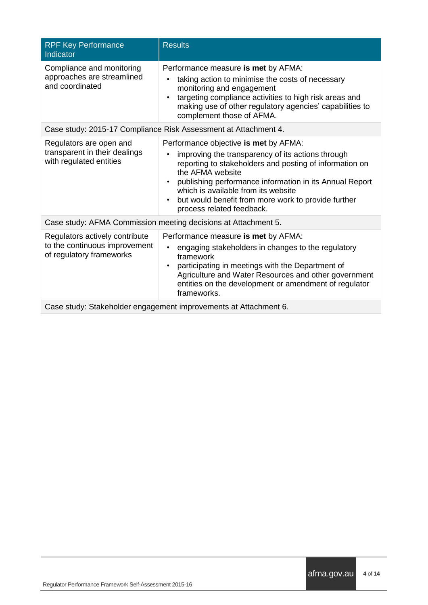| <b>RPF Key Performance</b><br>Indicator                                                     | <b>Results</b>                                                                                                                                                                                                                                                                                                                                                       |  |
|---------------------------------------------------------------------------------------------|----------------------------------------------------------------------------------------------------------------------------------------------------------------------------------------------------------------------------------------------------------------------------------------------------------------------------------------------------------------------|--|
| Compliance and monitoring<br>approaches are streamlined<br>and coordinated                  | Performance measure is met by AFMA:<br>taking action to minimise the costs of necessary<br>monitoring and engagement<br>targeting compliance activities to high risk areas and<br>making use of other regulatory agencies' capabilities to<br>complement those of AFMA.                                                                                              |  |
|                                                                                             | Case study: 2015-17 Compliance Risk Assessment at Attachment 4.                                                                                                                                                                                                                                                                                                      |  |
| Regulators are open and<br>transparent in their dealings<br>with regulated entities         | Performance objective is met by AFMA:<br>improving the transparency of its actions through<br>٠<br>reporting to stakeholders and posting of information on<br>the AFMA website<br>publishing performance information in its Annual Report<br>which is available from its website<br>but would benefit from more work to provide further<br>process related feedback. |  |
| Case study: AFMA Commission meeting decisions at Attachment 5.                              |                                                                                                                                                                                                                                                                                                                                                                      |  |
| Regulators actively contribute<br>to the continuous improvement<br>of regulatory frameworks | Performance measure is met by AFMA:<br>engaging stakeholders in changes to the regulatory<br>framework<br>participating in meetings with the Department of<br>Agriculture and Water Resources and other government<br>entities on the development or amendment of regulator<br>frameworks.                                                                           |  |
| Case study: Stakeholder engagement improvements at Attachment 6.                            |                                                                                                                                                                                                                                                                                                                                                                      |  |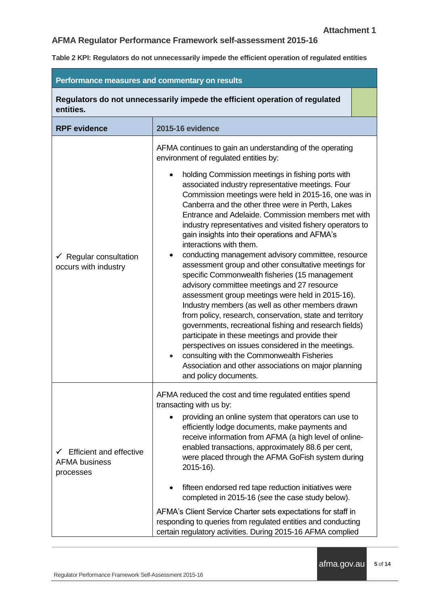**Table 2 KPI: Regulators do not unnecessarily impede the efficient operation of regulated entities**

| Performance measures and commentary on results                           |                                                                                                                                                                                                                                                                                                                                                                                                                                                                                                                                                                                                                                                                                                                                                                                                                                                                                                                                                                                                                                                                                                                       |  |
|--------------------------------------------------------------------------|-----------------------------------------------------------------------------------------------------------------------------------------------------------------------------------------------------------------------------------------------------------------------------------------------------------------------------------------------------------------------------------------------------------------------------------------------------------------------------------------------------------------------------------------------------------------------------------------------------------------------------------------------------------------------------------------------------------------------------------------------------------------------------------------------------------------------------------------------------------------------------------------------------------------------------------------------------------------------------------------------------------------------------------------------------------------------------------------------------------------------|--|
| entities.                                                                | Regulators do not unnecessarily impede the efficient operation of regulated                                                                                                                                                                                                                                                                                                                                                                                                                                                                                                                                                                                                                                                                                                                                                                                                                                                                                                                                                                                                                                           |  |
| <b>RPF</b> evidence                                                      | <b>2015-16 evidence</b>                                                                                                                                                                                                                                                                                                                                                                                                                                                                                                                                                                                                                                                                                                                                                                                                                                                                                                                                                                                                                                                                                               |  |
|                                                                          | AFMA continues to gain an understanding of the operating<br>environment of regulated entities by:                                                                                                                                                                                                                                                                                                                                                                                                                                                                                                                                                                                                                                                                                                                                                                                                                                                                                                                                                                                                                     |  |
| $\checkmark$ Regular consultation<br>occurs with industry                | holding Commission meetings in fishing ports with<br>associated industry representative meetings. Four<br>Commission meetings were held in 2015-16, one was in<br>Canberra and the other three were in Perth, Lakes<br>Entrance and Adelaide. Commission members met with<br>industry representatives and visited fishery operators to<br>gain insights into their operations and AFMA's<br>interactions with them.<br>conducting management advisory committee, resource<br>assessment group and other consultative meetings for<br>specific Commonwealth fisheries (15 management<br>advisory committee meetings and 27 resource<br>assessment group meetings were held in 2015-16).<br>Industry members (as well as other members drawn<br>from policy, research, conservation, state and territory<br>governments, recreational fishing and research fields)<br>participate in these meetings and provide their<br>perspectives on issues considered in the meetings.<br>consulting with the Commonwealth Fisheries<br>$\bullet$<br>Association and other associations on major planning<br>and policy documents. |  |
| <b>Efficient and effective</b><br>✓<br><b>AFMA business</b><br>processes | AFMA reduced the cost and time regulated entities spend<br>transacting with us by:<br>providing an online system that operators can use to<br>efficiently lodge documents, make payments and<br>receive information from AFMA (a high level of online-<br>enabled transactions, approximately 88.6 per cent,<br>were placed through the AFMA GoFish system during<br>2015-16).<br>fifteen endorsed red tape reduction initiatives were<br>completed in 2015-16 (see the case study below).<br>AFMA's Client Service Charter sets expectations for staff in<br>responding to queries from regulated entities and conducting                                                                                                                                                                                                                                                                                                                                                                                                                                                                                            |  |
|                                                                          | certain regulatory activities. During 2015-16 AFMA complied                                                                                                                                                                                                                                                                                                                                                                                                                                                                                                                                                                                                                                                                                                                                                                                                                                                                                                                                                                                                                                                           |  |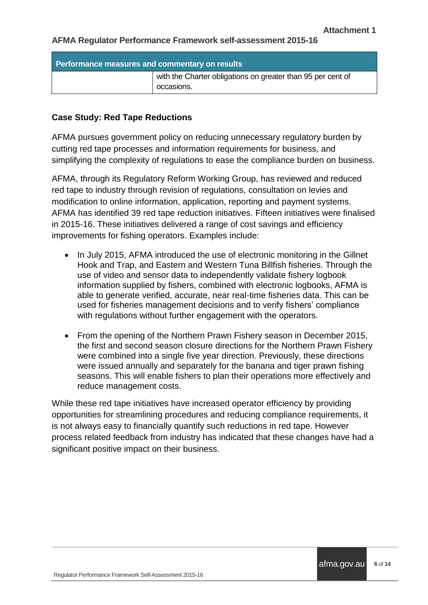| Performance measures and commentary on results |                                                                           |
|------------------------------------------------|---------------------------------------------------------------------------|
|                                                | with the Charter obligations on greater than 95 per cent of<br>occasions. |

#### **Case Study: Red Tape Reductions**

AFMA pursues government policy on reducing unnecessary regulatory burden by cutting red tape processes and information requirements for business, and simplifying the complexity of regulations to ease the compliance burden on business.

AFMA, through its Regulatory Reform Working Group, has reviewed and reduced red tape to industry through revision of regulations, consultation on levies and modification to online information, application, reporting and payment systems. AFMA has identified 39 red tape reduction initiatives. Fifteen initiatives were finalised in 2015-16. These initiatives delivered a range of cost savings and efficiency improvements for fishing operators. Examples include:

- In July 2015, AFMA introduced the use of electronic monitoring in the Gillnet Hook and Trap, and Eastern and Western Tuna Billfish fisheries. Through the use of video and sensor data to independently validate fishery logbook information supplied by fishers, combined with electronic logbooks, AFMA is able to generate verified, accurate, near real-time fisheries data. This can be used for fisheries management decisions and to verify fishers' compliance with regulations without further engagement with the operators.
- From the opening of the Northern Prawn Fishery season in December 2015, the first and second season closure directions for the Northern Prawn Fishery were combined into a single five year direction. Previously, these directions were issued annually and separately for the banana and tiger prawn fishing seasons. This will enable fishers to plan their operations more effectively and reduce management costs.

While these red tape initiatives have increased operator efficiency by providing opportunities for streamlining procedures and reducing compliance requirements, it is not always easy to financially quantify such reductions in red tape. However process related feedback from industry has indicated that these changes have had a significant positive impact on their business.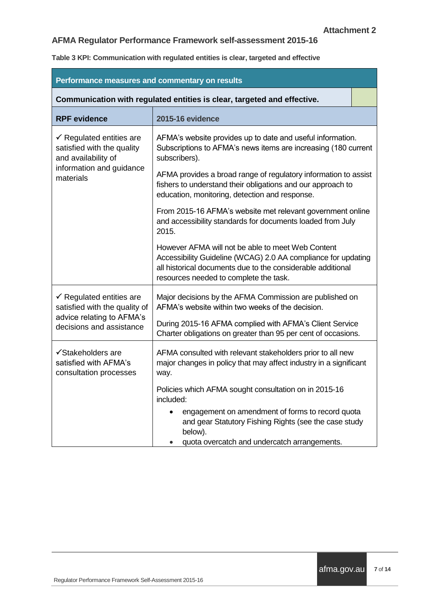**Table 3 KPI: Communication with regulated entities is clear, targeted and effective**

| Performance measures and commentary on results                                                                                    |                                                                                                                                                                                                                             |  |
|-----------------------------------------------------------------------------------------------------------------------------------|-----------------------------------------------------------------------------------------------------------------------------------------------------------------------------------------------------------------------------|--|
| Communication with regulated entities is clear, targeted and effective.                                                           |                                                                                                                                                                                                                             |  |
| <b>RPF</b> evidence                                                                                                               | <b>2015-16 evidence</b>                                                                                                                                                                                                     |  |
| $\checkmark$ Regulated entities are<br>satisfied with the quality<br>and availability of<br>information and guidance<br>materials | AFMA's website provides up to date and useful information.<br>Subscriptions to AFMA's news items are increasing (180 current<br>subscribers).                                                                               |  |
|                                                                                                                                   | AFMA provides a broad range of regulatory information to assist<br>fishers to understand their obligations and our approach to<br>education, monitoring, detection and response.                                            |  |
|                                                                                                                                   | From 2015-16 AFMA's website met relevant government online<br>and accessibility standards for documents loaded from July<br>2015.                                                                                           |  |
|                                                                                                                                   | However AFMA will not be able to meet Web Content<br>Accessibility Guideline (WCAG) 2.0 AA compliance for updating<br>all historical documents due to the considerable additional<br>resources needed to complete the task. |  |
| $\checkmark$ Regulated entities are<br>satisfied with the quality of<br>advice relating to AFMA's<br>decisions and assistance     | Major decisions by the AFMA Commission are published on<br>AFMA's website within two weeks of the decision.                                                                                                                 |  |
|                                                                                                                                   | During 2015-16 AFMA complied with AFMA's Client Service<br>Charter obligations on greater than 95 per cent of occasions.                                                                                                    |  |
| √Stakeholders are<br>satisfied with AFMA's<br>consultation processes                                                              | AFMA consulted with relevant stakeholders prior to all new<br>major changes in policy that may affect industry in a significant<br>way.                                                                                     |  |
|                                                                                                                                   | Policies which AFMA sought consultation on in 2015-16<br>included:                                                                                                                                                          |  |
|                                                                                                                                   | engagement on amendment of forms to record quota<br>and gear Statutory Fishing Rights (see the case study<br>below).<br>quota overcatch and undercatch arrangements.                                                        |  |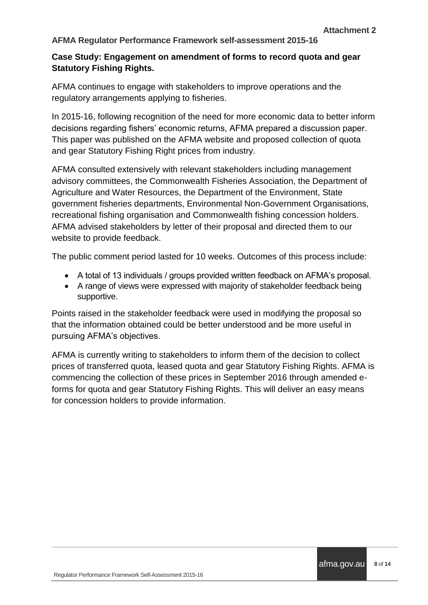#### **Case Study: Engagement on amendment of forms to record quota and gear Statutory Fishing Rights.**

AFMA continues to engage with stakeholders to improve operations and the regulatory arrangements applying to fisheries.

In 2015-16, following recognition of the need for more economic data to better inform decisions regarding fishers' economic returns, AFMA prepared a discussion paper. This paper was published on the AFMA website and proposed collection of quota and gear Statutory Fishing Right prices from industry.

AFMA consulted extensively with relevant stakeholders including management advisory committees, the Commonwealth Fisheries Association, the Department of Agriculture and Water Resources, the Department of the Environment, State government fisheries departments, Environmental Non-Government Organisations, recreational fishing organisation and Commonwealth fishing concession holders. AFMA advised stakeholders by letter of their proposal and directed them to our website to provide feedback.

The public comment period lasted for 10 weeks. Outcomes of this process include:

- A total of 13 individuals / groups provided written feedback on AFMA's proposal.
- A range of views were expressed with majority of stakeholder feedback being supportive.

Points raised in the stakeholder feedback were used in modifying the proposal so that the information obtained could be better understood and be more useful in pursuing AFMA's objectives.

AFMA is currently writing to stakeholders to inform them of the decision to collect prices of transferred quota, leased quota and gear Statutory Fishing Rights. AFMA is commencing the collection of these prices in September 2016 through amended eforms for quota and gear Statutory Fishing Rights. This will deliver an easy means for concession holders to provide information.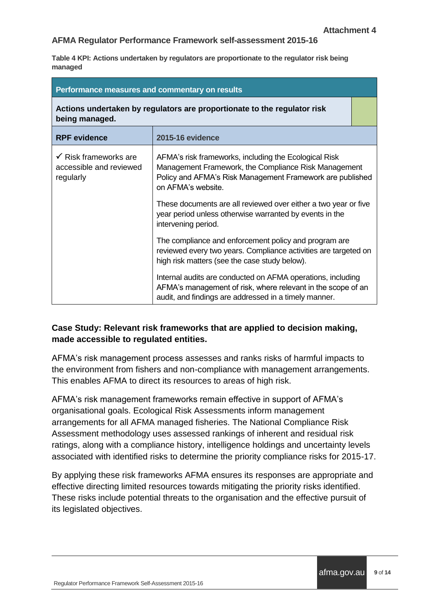**Table 4 KPI: Actions undertaken by regulators are proportionate to the regulator risk being managed**

| Performance measures and commentary on results                                             |                                                                                                                                                                                                  |  |
|--------------------------------------------------------------------------------------------|--------------------------------------------------------------------------------------------------------------------------------------------------------------------------------------------------|--|
| Actions undertaken by regulators are proportionate to the regulator risk<br>being managed. |                                                                                                                                                                                                  |  |
| <b>RPF</b> evidence                                                                        | <b>2015-16 evidence</b>                                                                                                                                                                          |  |
| $\checkmark$ Risk frameworks are<br>accessible and reviewed<br>regularly                   | AFMA's risk frameworks, including the Ecological Risk<br>Management Framework, the Compliance Risk Management<br>Policy and AFMA's Risk Management Framework are published<br>on AFMA's website. |  |
|                                                                                            | These documents are all reviewed over either a two year or five<br>year period unless otherwise warranted by events in the<br>intervening period.                                                |  |
|                                                                                            | The compliance and enforcement policy and program are<br>reviewed every two years. Compliance activities are targeted on<br>high risk matters (see the case study below).                        |  |
|                                                                                            | Internal audits are conducted on AFMA operations, including<br>AFMA's management of risk, where relevant in the scope of an<br>audit, and findings are addressed in a timely manner.             |  |

#### **Case Study: Relevant risk frameworks that are applied to decision making, made accessible to regulated entities.**

AFMA's risk management process assesses and ranks risks of harmful impacts to the environment from fishers and non-compliance with management arrangements. This enables AFMA to direct its resources to areas of high risk.

AFMA's risk management frameworks remain effective in support of AFMA's organisational goals. Ecological Risk Assessments inform management arrangements for all AFMA managed fisheries. The National Compliance Risk Assessment methodology uses assessed rankings of inherent and residual risk ratings, along with a compliance history, intelligence holdings and uncertainty levels associated with identified risks to determine the priority compliance risks for 2015-17.

By applying these risk frameworks AFMA ensures its responses are appropriate and effective directing limited resources towards mitigating the priority risks identified. These risks include potential threats to the organisation and the effective pursuit of its legislated objectives.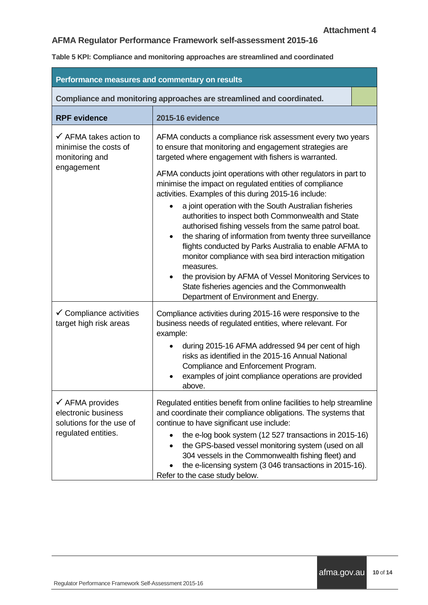**Table 5 KPI: Compliance and monitoring approaches are streamlined and coordinated**

| Performance measures and commentary on results                                                       |                                                                                                                                                                                                                                                                                                                                                                                                                                                                                                                                                                                                                                                                                                                                                                                                                                                                                                             |  |
|------------------------------------------------------------------------------------------------------|-------------------------------------------------------------------------------------------------------------------------------------------------------------------------------------------------------------------------------------------------------------------------------------------------------------------------------------------------------------------------------------------------------------------------------------------------------------------------------------------------------------------------------------------------------------------------------------------------------------------------------------------------------------------------------------------------------------------------------------------------------------------------------------------------------------------------------------------------------------------------------------------------------------|--|
| Compliance and monitoring approaches are streamlined and coordinated.                                |                                                                                                                                                                                                                                                                                                                                                                                                                                                                                                                                                                                                                                                                                                                                                                                                                                                                                                             |  |
| <b>RPF</b> evidence                                                                                  | <b>2015-16 evidence</b>                                                                                                                                                                                                                                                                                                                                                                                                                                                                                                                                                                                                                                                                                                                                                                                                                                                                                     |  |
| $\checkmark$ AFMA takes action to<br>minimise the costs of<br>monitoring and<br>engagement           | AFMA conducts a compliance risk assessment every two years<br>to ensure that monitoring and engagement strategies are<br>targeted where engagement with fishers is warranted.<br>AFMA conducts joint operations with other regulators in part to<br>minimise the impact on regulated entities of compliance<br>activities. Examples of this during 2015-16 include:<br>a joint operation with the South Australian fisheries<br>authorities to inspect both Commonwealth and State<br>authorised fishing vessels from the same patrol boat.<br>the sharing of information from twenty three surveillance<br>$\bullet$<br>flights conducted by Parks Australia to enable AFMA to<br>monitor compliance with sea bird interaction mitigation<br>measures.<br>the provision by AFMA of Vessel Monitoring Services to<br>State fisheries agencies and the Commonwealth<br>Department of Environment and Energy. |  |
| $\checkmark$ Compliance activities<br>target high risk areas                                         | Compliance activities during 2015-16 were responsive to the<br>business needs of regulated entities, where relevant. For<br>example:<br>during 2015-16 AFMA addressed 94 per cent of high<br>risks as identified in the 2015-16 Annual National<br>Compliance and Enforcement Program.<br>examples of joint compliance operations are provided<br>above.                                                                                                                                                                                                                                                                                                                                                                                                                                                                                                                                                    |  |
| $\checkmark$ AFMA provides<br>electronic business<br>solutions for the use of<br>regulated entities. | Regulated entities benefit from online facilities to help streamline<br>and coordinate their compliance obligations. The systems that<br>continue to have significant use include:<br>the e-log book system (12 527 transactions in 2015-16)<br>the GPS-based vessel monitoring system (used on all<br>304 vessels in the Commonwealth fishing fleet) and<br>the e-licensing system (3 046 transactions in 2015-16).<br>Refer to the case study below.                                                                                                                                                                                                                                                                                                                                                                                                                                                      |  |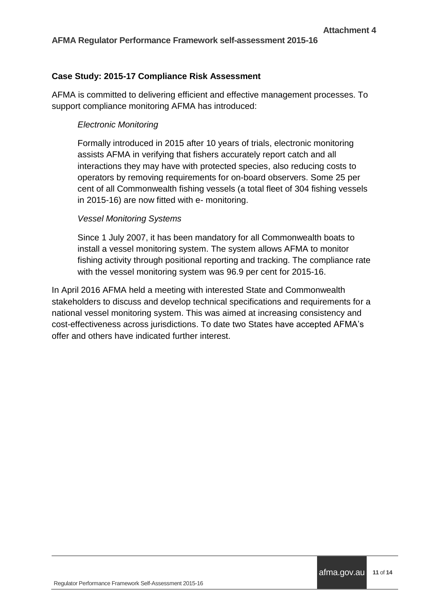#### **Case Study: 2015-17 Compliance Risk Assessment**

AFMA is committed to delivering efficient and effective management processes. To support compliance monitoring AFMA has introduced:

#### *Electronic Monitoring*

Formally introduced in 2015 after 10 years of trials, electronic monitoring assists AFMA in verifying that fishers accurately report catch and all interactions they may have with protected species, also reducing costs to operators by removing requirements for on-board observers. Some 25 per cent of all Commonwealth fishing vessels (a total fleet of 304 fishing vessels in 2015-16) are now fitted with e- monitoring.

#### *Vessel Monitoring Systems*

Since 1 July 2007, it has been mandatory for all Commonwealth boats to install a vessel monitoring system. The system allows AFMA to monitor fishing activity through positional reporting and tracking. The compliance rate with the vessel monitoring system was 96.9 per cent for 2015-16.

In April 2016 AFMA held a meeting with interested State and Commonwealth stakeholders to discuss and develop technical specifications and requirements for a national vessel monitoring system. This was aimed at increasing consistency and cost-effectiveness across jurisdictions. To date two States have accepted AFMA's offer and others have indicated further interest.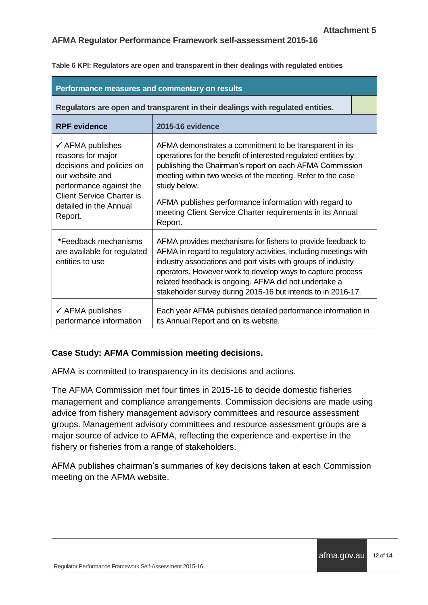**Table 6 KPI: Regulators are open and transparent in their dealings with regulated entities**

| Performance measures and commentary on results                                                                                                                                                       |                                                                                                                                                                                                                                                                                                                                                                                                      |  |
|------------------------------------------------------------------------------------------------------------------------------------------------------------------------------------------------------|------------------------------------------------------------------------------------------------------------------------------------------------------------------------------------------------------------------------------------------------------------------------------------------------------------------------------------------------------------------------------------------------------|--|
|                                                                                                                                                                                                      | Regulators are open and transparent in their dealings with regulated entities.                                                                                                                                                                                                                                                                                                                       |  |
| <b>RPF</b> evidence                                                                                                                                                                                  | <b>2015-16 evidence</b>                                                                                                                                                                                                                                                                                                                                                                              |  |
| $\checkmark$ AFMA publishes<br>reasons for major<br>decisions and policies on<br>our website and<br>performance against the<br><b>Client Service Charter is</b><br>detailed in the Annual<br>Report. | AFMA demonstrates a commitment to be transparent in its<br>operations for the benefit of interested regulated entities by<br>publishing the Chairman's report on each AFMA Commission<br>meeting within two weeks of the meeting. Refer to the case<br>study below.<br>AFMA publishes performance information with regard to<br>meeting Client Service Charter requirements in its Annual<br>Report. |  |
| *Feedback mechanisms<br>are available for regulated<br>entities to use                                                                                                                               | AFMA provides mechanisms for fishers to provide feedback to<br>AFMA in regard to regulatory activities, including meetings with<br>industry associations and port visits with groups of industry<br>operators. However work to develop ways to capture process<br>related feedback is ongoing. AFMA did not undertake a<br>stakeholder survey during 2015-16 but intends to in 2016-17.              |  |
| $\checkmark$ AFMA publishes<br>performance information                                                                                                                                               | Each year AFMA publishes detailed performance information in<br>its Annual Report and on its website.                                                                                                                                                                                                                                                                                                |  |

#### **Case Study: AFMA Commission meeting decisions.**

AFMA is committed to transparency in its decisions and actions.

The AFMA Commission met four times in 2015-16 to decide domestic fisheries management and compliance arrangements. Commission decisions are made using advice from fishery management advisory committees and resource assessment groups. Management advisory committees and resource assessment groups are a major source of advice to AFMA, reflecting the experience and expertise in the fishery or fisheries from a range of stakeholders.

AFMA publishes chairman's summaries of key decisions taken at each Commission meeting on the AFMA website.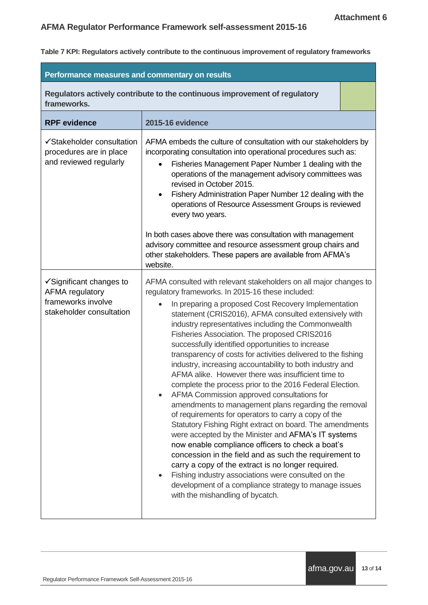**Table 7 KPI: Regulators actively contribute to the continuous improvement of regulatory frameworks**

| Performance measures and commentary on results                                                           |                                                                                                                                                                                                                                                                                                                                                                                                                                                                                                                                                                                                                                                                                                                                                                                                                                                                                                                                                                                                                                                                                                                                                                                                                                                             |  |
|----------------------------------------------------------------------------------------------------------|-------------------------------------------------------------------------------------------------------------------------------------------------------------------------------------------------------------------------------------------------------------------------------------------------------------------------------------------------------------------------------------------------------------------------------------------------------------------------------------------------------------------------------------------------------------------------------------------------------------------------------------------------------------------------------------------------------------------------------------------------------------------------------------------------------------------------------------------------------------------------------------------------------------------------------------------------------------------------------------------------------------------------------------------------------------------------------------------------------------------------------------------------------------------------------------------------------------------------------------------------------------|--|
| frameworks.                                                                                              | Regulators actively contribute to the continuous improvement of regulatory                                                                                                                                                                                                                                                                                                                                                                                                                                                                                                                                                                                                                                                                                                                                                                                                                                                                                                                                                                                                                                                                                                                                                                                  |  |
| <b>RPF</b> evidence                                                                                      | <b>2015-16 evidence</b>                                                                                                                                                                                                                                                                                                                                                                                                                                                                                                                                                                                                                                                                                                                                                                                                                                                                                                                                                                                                                                                                                                                                                                                                                                     |  |
| ✔ Stakeholder consultation<br>procedures are in place<br>and reviewed regularly                          | AFMA embeds the culture of consultation with our stakeholders by<br>incorporating consultation into operational procedures such as:<br>Fisheries Management Paper Number 1 dealing with the<br>operations of the management advisory committees was<br>revised in October 2015.<br>Fishery Administration Paper Number 12 dealing with the<br>operations of Resource Assessment Groups is reviewed<br>every two years.                                                                                                                                                                                                                                                                                                                                                                                                                                                                                                                                                                                                                                                                                                                                                                                                                                      |  |
|                                                                                                          | In both cases above there was consultation with management<br>advisory committee and resource assessment group chairs and<br>other stakeholders. These papers are available from AFMA's<br>website.                                                                                                                                                                                                                                                                                                                                                                                                                                                                                                                                                                                                                                                                                                                                                                                                                                                                                                                                                                                                                                                         |  |
| $\checkmark$ Significant changes to<br>AFMA regulatory<br>frameworks involve<br>stakeholder consultation | AFMA consulted with relevant stakeholders on all major changes to<br>regulatory frameworks. In 2015-16 these included:<br>In preparing a proposed Cost Recovery Implementation<br>statement (CRIS2016), AFMA consulted extensively with<br>industry representatives including the Commonwealth<br>Fisheries Association. The proposed CRIS2016<br>successfully identified opportunities to increase<br>transparency of costs for activities delivered to the fishing<br>industry, increasing accountability to both industry and<br>AFMA alike. However there was insufficient time to<br>complete the process prior to the 2016 Federal Election.<br>AFMA Commission approved consultations for<br>amendments to management plans regarding the removal<br>of requirements for operators to carry a copy of the<br>Statutory Fishing Right extract on board. The amendments<br>were accepted by the Minister and AFMA's IT systems<br>now enable compliance officers to check a boat's<br>concession in the field and as such the requirement to<br>carry a copy of the extract is no longer required.<br>Fishing industry associations were consulted on the<br>development of a compliance strategy to manage issues<br>with the mishandling of bycatch. |  |